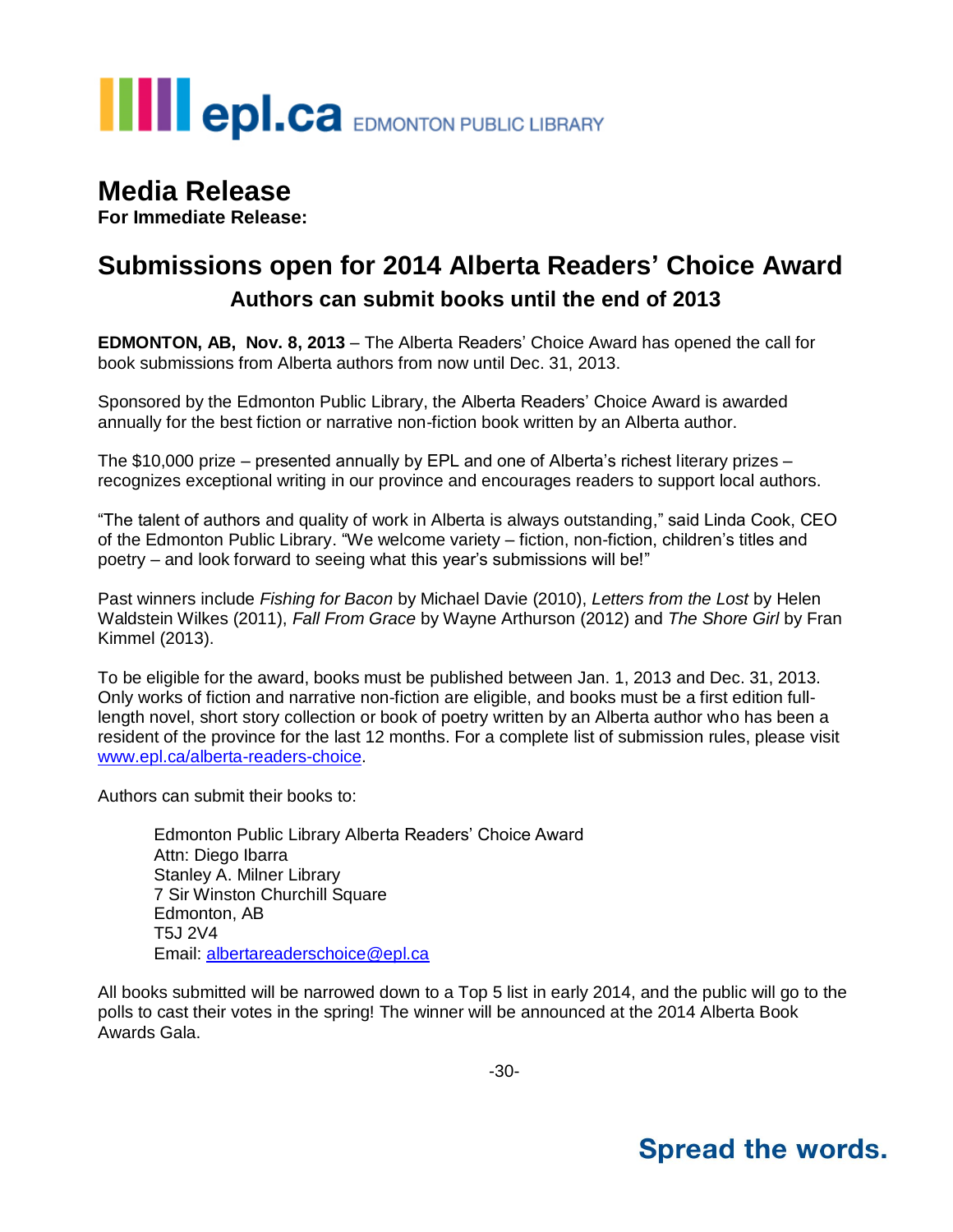# **THE POLCA** EDMONTON PUBLIC LIBRARY

### **Media Release**

**For Immediate Release:**

### **Submissions open for 2014 Alberta Readers' Choice Award Authors can submit books until the end of 2013**

**EDMONTON, AB, Nov. 8, 2013** – The Alberta Readers' Choice Award has opened the call for book submissions from Alberta authors from now until Dec. 31, 2013.

Sponsored by the Edmonton Public Library, the Alberta Readers' Choice Award is awarded annually for the best fiction or narrative non-fiction book written by an Alberta author.

The \$10,000 prize – presented annually by EPL and one of Alberta's richest literary prizes – recognizes exceptional writing in our province and encourages readers to support local authors.

"The talent of authors and quality of work in Alberta is always outstanding," said Linda Cook, CEO of the Edmonton Public Library. "We welcome variety – fiction, non-fiction, children's titles and poetry – and look forward to seeing what this year's submissions will be!"

Past winners include *Fishing for Bacon* by Michael Davie (2010), *Letters from the Lost* by Helen Waldstein Wilkes (2011), *Fall From Grace* by Wayne Arthurson (2012) and *The Shore Girl* by Fran Kimmel (2013).

To be eligible for the award, books must be published between Jan. 1, 2013 and Dec. 31, 2013. Only works of fiction and narrative non-fiction are eligible, and books must be a first edition fulllength novel, short story collection or book of poetry written by an Alberta author who has been a resident of the province for the last 12 months. For a complete list of submission rules, please visit [www.epl.ca/alberta-readers-choice.](http://www.epl.ca/alberta-readers-choice)

Authors can submit their books to:

Edmonton Public Library Alberta Readers' Choice Award Attn: Diego Ibarra Stanley A. Milner Library 7 Sir Winston Churchill Square Edmonton, AB T5J 2V4 Email: [albertareaderschoice@epl.ca](mailto:albertareaderschoice@epl.ca)

All books submitted will be narrowed down to a Top 5 list in early 2014, and the public will go to the polls to cast their votes in the spring! The winner will be announced at the 2014 Alberta Book Awards Gala.

## **Spread the words.**